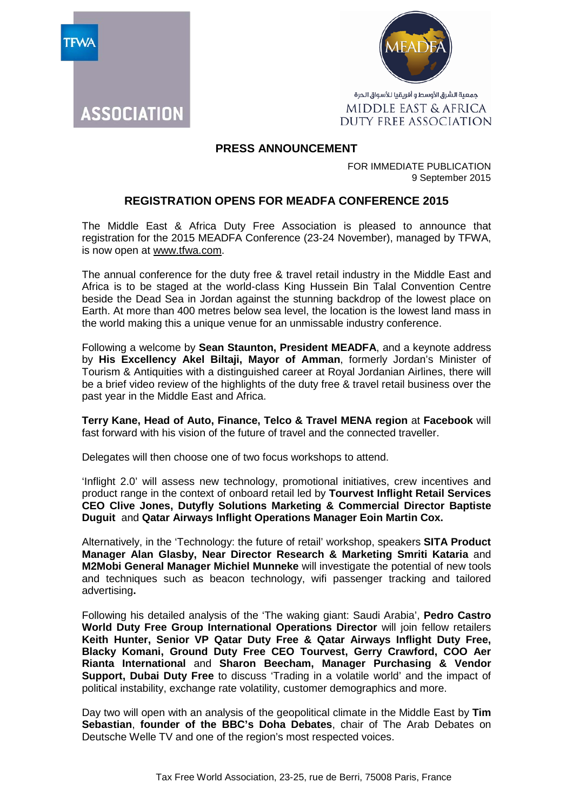

**ASSOCIATION** 



جمعية الشرق الأوسط و أفريقيا للأسواق الحرة MIDDLE EAST & AFRICA DUTY FREE ASSOCIATION

## **PRESS ANNOUNCEMENT**

FOR IMMEDIATE PUBLICATION 9 September 2015

## **REGISTRATION OPENS FOR MEADFA CONFERENCE 2015**

The Middle East & Africa Duty Free Association is pleased to announce that registration for the 2015 MEADFA Conference (23-24 November), managed by TFWA, is now open at [www.tfwa.com.](http://www.tfwa.com/)

The annual conference for the duty free & travel retail industry in the Middle East and Africa is to be staged at the world-class King Hussein Bin Talal Convention Centre beside the Dead Sea in Jordan against the stunning backdrop of the lowest place on Earth. At more than 400 metres below sea level, the location is the lowest land mass in the world making this a unique venue for an unmissable industry conference.

Following a welcome by **Sean Staunton, President MEADFA**, and a keynote address by **His Excellency Akel Biltaji, Mayor of Amman**, formerly Jordan's Minister of Tourism & Antiquities with a distinguished career at Royal Jordanian Airlines, there will be a brief video review of the highlights of the duty free & travel retail business over the past year in the Middle East and Africa.

**Terry Kane, Head of Auto, Finance, Telco & Travel MENA region** at **Facebook** will fast forward with his vision of the future of travel and the connected traveller.

Delegates will then choose one of two focus workshops to attend.

'Inflight 2.0' will assess new technology, promotional initiatives, crew incentives and product range in the context of onboard retail led by **Tourvest Inflight Retail Services CEO Clive Jones, Dutyfly Solutions Marketing & Commercial Director Baptiste Duguit** and **Qatar Airways Inflight Operations Manager Eoin Martin Cox.** 

Alternatively, in the 'Technology: the future of retail' workshop, speakers **SITA Product Manager Alan Glasby, Near Director Research & Marketing Smriti Kataria** and **M2Mobi General Manager Michiel Munneke** will investigate the potential of new tools and techniques such as beacon technology, wifi passenger tracking and tailored advertising**.**

Following his detailed analysis of the 'The waking giant: Saudi Arabia', **Pedro Castro World Duty Free Group International Operations Director** will join fellow retailers **Keith Hunter, Senior VP Qatar Duty Free & Qatar Airways Inflight Duty Free, Blacky Komani, Ground Duty Free CEO Tourvest, Gerry Crawford, COO Aer Rianta International** and **Sharon Beecham, Manager Purchasing & Vendor Support, Dubai Duty Free** to discuss 'Trading in a volatile world' and the impact of political instability, exchange rate volatility, customer demographics and more.

Day two will open with an analysis of the geopolitical climate in the Middle East by **Tim Sebastian**, **founder of the BBC's Doha Debates**, chair of The Arab Debates on Deutsche Welle TV and one of the region's most respected voices.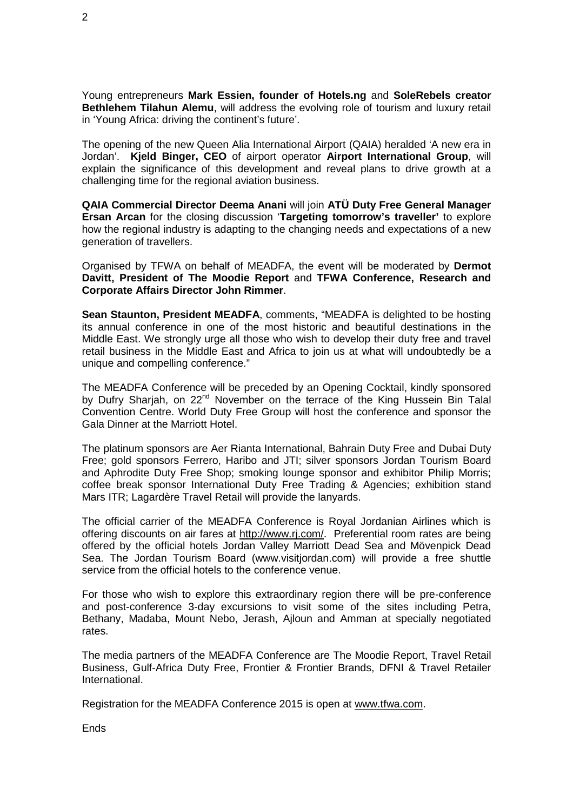Young entrepreneurs **Mark Essien, founder of Hotels.ng** and **SoleRebels creator Bethlehem Tilahun Alemu**, will address the evolving role of tourism and luxury retail in 'Young Africa: driving the continent's future'.

The opening of the new Queen Alia International Airport (QAIA) heralded 'A new era in Jordan'. **Kjeld Binger, CEO** of airport operator **Airport International Group**, will explain the significance of this development and reveal plans to drive growth at a challenging time for the regional aviation business.

**QAIA Commercial Director Deema Anani** will join **ATÜ Duty Free General Manager Ersan Arcan** for the closing discussion '**Targeting tomorrow's traveller'** to explore how the regional industry is adapting to the changing needs and expectations of a new generation of travellers.

Organised by TFWA on behalf of MEADFA, the event will be moderated by **Dermot Davitt, President of The Moodie Report** and **TFWA Conference, Research and Corporate Affairs Director John Rimmer**.

**Sean Staunton, President MEADFA**, comments, "MEADFA is delighted to be hosting its annual conference in one of the most historic and beautiful destinations in the Middle East. We strongly urge all those who wish to develop their duty free and travel retail business in the Middle East and Africa to join us at what will undoubtedly be a unique and compelling conference."

The MEADFA Conference will be preceded by an Opening Cocktail, kindly sponsored by Dufry Shariah, on 22<sup>nd</sup> November on the terrace of the King Hussein Bin Talal Convention Centre. World Duty Free Group will host the conference and sponsor the Gala Dinner at the Marriott Hotel.

The platinum sponsors are Aer Rianta International, Bahrain Duty Free and Dubai Duty Free; gold sponsors Ferrero, Haribo and JTI; silver sponsors Jordan Tourism Board and Aphrodite Duty Free Shop; smoking lounge sponsor and exhibitor Philip Morris; coffee break sponsor International Duty Free Trading & Agencies; exhibition stand Mars ITR; Lagardère Travel Retail will provide the lanyards.

The official carrier of the MEADFA Conference is Royal Jordanian Airlines which is offering discounts on air fares at [http://www.rj.com/.](http://www.rj.com/) Preferential room rates are being offered by the official hotels Jordan Valley Marriott Dead Sea and Mövenpick Dead Sea. The Jordan Tourism Board (www.visitjordan.com) will provide a free shuttle service from the official hotels to the conference venue.

For those who wish to explore this extraordinary region there will be pre-conference and post-conference 3-day excursions to visit some of the sites including Petra, Bethany, Madaba, Mount Nebo, Jerash, Ajloun and Amman at specially negotiated rates.

The media partners of the MEADFA Conference are The Moodie Report, Travel Retail Business, Gulf-Africa Duty Free, Frontier & Frontier Brands, DFNI & Travel Retailer International.

Registration for the MEADFA Conference 2015 is open at [www.tfwa.com.](http://www.tfwa.com/)

Ends